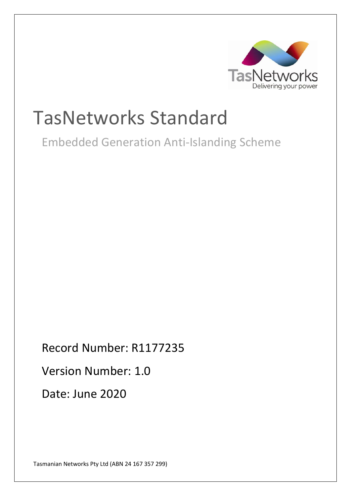

# TasNetworks Standard

Embedded Generation Anti-Islanding Scheme

Record Number: R1177235 Version Number: 1.0 Date: June 2020

Tasmanian Networks Pty Ltd (ABN 24 167 357 299)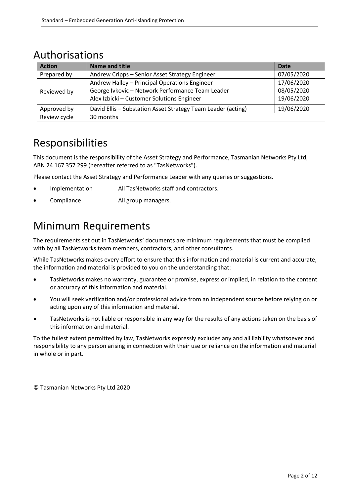## Authorisations

| <b>Action</b> | <b>Name and title</b>                                        | <b>Date</b> |
|---------------|--------------------------------------------------------------|-------------|
| Prepared by   | Andrew Cripps - Senior Asset Strategy Engineer               | 07/05/2020  |
|               | Andrew Halley - Principal Operations Engineer                | 17/06/2020  |
| Reviewed by   | George Ivkovic - Network Performance Team Leader             | 08/05/2020  |
|               | Alex Izbicki - Customer Solutions Engineer                   | 19/06/2020  |
| Approved by   | David Ellis - Substation Asset Strategy Team Leader (acting) | 19/06/2020  |
| Review cycle  | 30 months                                                    |             |

## Responsibilities

This document is the responsibility of the Asset Strategy and Performance, Tasmanian Networks Pty Ltd, ABN 24 167 357 299 (hereafter referred to as "TasNetworks").

Please contact the Asset Strategy and Performance Leader with any queries or suggestions.

- Implementation All TasNetworks staff and contractors.
- Compliance **All group managers.**

## Minimum Requirements

The requirements set out in TasNetworks' documents are minimum requirements that must be complied with by all TasNetworks team members, contractors, and other consultants.

While TasNetworks makes every effort to ensure that this information and material is current and accurate, the information and material is provided to you on the understanding that:

- TasNetworks makes no warranty, guarantee or promise, express or implied, in relation to the content or accuracy of this information and material.
- You will seek verification and/or professional advice from an independent source before relying on or acting upon any of this information and material.
- TasNetworks is not liable or responsible in any way for the results of any actions taken on the basis of this information and material.

To the fullest extent permitted by law, TasNetworks expressly excludes any and all liability whatsoever and responsibility to any person arising in connection with their use or reliance on the information and material in whole or in part.

© Tasmanian Networks Pty Ltd 2020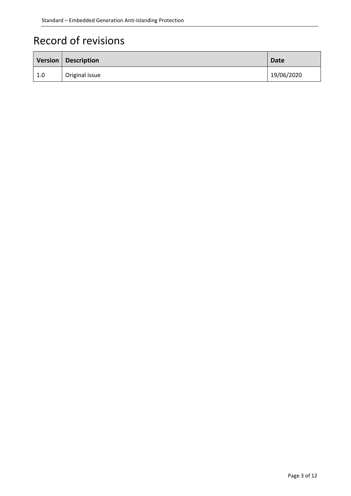# Record of revisions

|     | Version   Description | <b>Date</b> |
|-----|-----------------------|-------------|
| 1.0 | Original issue        | 19/06/2020  |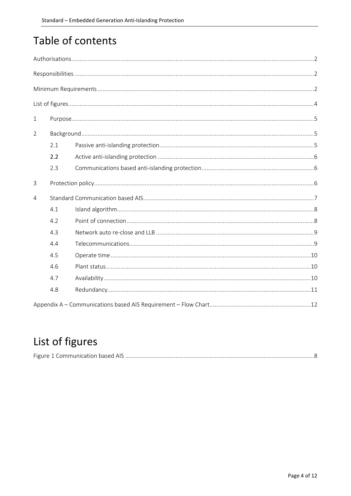# Table of contents

| $\mathbf{1}$ |     |  |  |
|--------------|-----|--|--|
| 2            |     |  |  |
|              | 2.1 |  |  |
|              | 2.2 |  |  |
|              | 2.3 |  |  |
| $\mathsf{3}$ |     |  |  |
| 4            |     |  |  |
|              | 4.1 |  |  |
|              | 4.2 |  |  |
|              | 4.3 |  |  |
|              | 4.4 |  |  |
|              | 4.5 |  |  |
|              | 4.6 |  |  |
|              | 4.7 |  |  |
|              | 4.8 |  |  |
|              |     |  |  |

# List of figures

|--|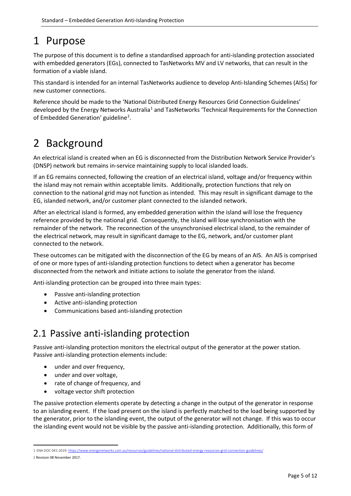## 1 Purpose

The purpose of this document is to define a standardised approach for anti-islanding protection associated with embedded generators (EGs), connected to TasNetworks MV and LV networks, that can result in the formation of a viable island.

This standard is intended for an internal TasNetworks audience to develop Anti-Islanding Schemes (AISs) for new customer connections.

Reference should be made to the 'National Distributed Energy Resources Grid Connection Guidelines' developed by the Energy Networks Australia<sup>1</sup> and TasNetworks 'Technical Requirements for the Connection of Embedded Generation' guideline<sup>[2](#page-4-1)</sup>.

## 2 Background

An electrical island is created when an EG is disconnected from the Distribution Network Service Provider's (DNSP) network but remains in-service maintaining supply to local islanded loads.

If an EG remains connected, following the creation of an electrical island, voltage and/or frequency within the island may not remain within acceptable limits. Additionally, protection functions that rely on connection to the national grid may not function as intended. This may result in significant damage to the EG, islanded network, and/or customer plant connected to the islanded network.

After an electrical island is formed, any embedded generation within the island will lose the frequency reference provided by the national grid. Consequently, the island will lose synchronisation with the remainder of the network. The reconnection of the unsynchronised electrical island, to the remainder of the electrical network, may result in significant damage to the EG, network, and/or customer plant connected to the network.

These outcomes can be mitigated with the disconnection of the EG by means of an AIS. An AIS is comprised of one or more types of anti-islanding protection functions to detect when a generator has become disconnected from the network and initiate actions to isolate the generator from the island.

Anti-islanding protection can be grouped into three main types:

- Passive anti-islanding protection
- Active anti-islanding protection
- Communications based anti-islanding protection

#### <span id="page-4-2"></span>2.1 Passive anti-islanding protection

Passive anti-islanding protection monitors the electrical output of the generator at the power station. Passive anti-islanding protection elements include:

- under and over frequency,
- under and over voltage,
- rate of change of frequency, and
- voltage vector shift protection

The passive protection elements operate by detecting a change in the output of the generator in response to an islanding event. If the load present on the island is perfectly matched to the load being supported by the generator, prior to the islanding event, the output of the generator will not change. If this was to occur the islanding event would not be visible by the passive anti-islanding protection. Additionally, this form of

<span id="page-4-0"></span> <sup>1</sup> ENA DOC 041-2019[: https://www.energynetworks.com.au/resources/guidelines/national-distributed-energy-resources-grid-connection-guidelines/](https://www.energynetworks.com.au/resources/guidelines/national-distributed-energy-resources-grid-connection-guidelines/)

<span id="page-4-1"></span><sup>2</sup> Revision 08 November 2017.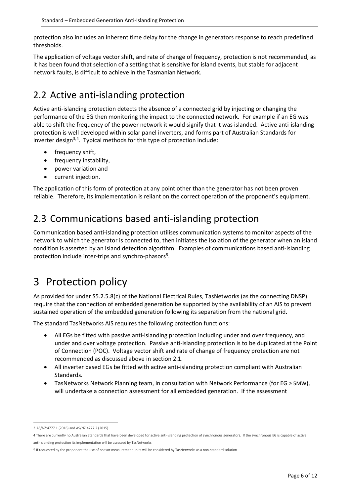protection also includes an inherent time delay for the change in generators response to reach predefined thresholds.

The application of voltage vector shift, and rate of change of frequency, protection is not recommended, as it has been found that selection of a setting that is sensitive for island events, but stable for adjacent network faults, is difficult to achieve in the Tasmanian Network.

## 2.2 Active anti-islanding protection

Active anti-islanding protection detects the absence of a connected grid by injecting or changing the performance of the EG then monitoring the impact to the connected network. For example if an EG was able to shift the frequency of the power network it would signify that it was islanded. Active anti-islanding protection is well developed within solar panel inverters, and forms part of Australian Standards for inverter design<sup>[3,](#page-5-0)[4](#page-5-1)</sup>. Typical methods for this type of protection include:

- frequency shift,
- frequency instability,
- power variation and
- current injection.

The application of this form of protection at any point other than the generator has not been proven reliable. Therefore, its implementation is reliant on the correct operation of the proponent's equipment.

#### 2.3 Communications based anti-islanding protection

Communication based anti-islanding protection utilises communication systems to monitor aspects of the network to which the generator is connected to, then initiates the isolation of the generator when an island condition is asserted by an island detection algorithm. Examples of communications based anti-islanding protection include inter-trips and synchro-phasors<sup>[5](#page-5-2)</sup>.

# 3 Protection policy

As provided for under S5.2.5.8(c) of the National Electrical Rules, TasNetworks (as the connecting DNSP) require that the connection of embedded generation be supported by the availability of an AIS to prevent sustained operation of the embedded generation following its separation from the national grid.

The standard TasNetworks AIS requires the following protection functions:

- All EGs be fitted with passive anti-islanding protection including under and over frequency, and under and over voltage protection. Passive anti-islanding protection is to be duplicated at the Point of Connection (POC). Voltage vector shift and rate of change of frequency protection are not recommended as discussed above in sectio[n 2.1.](#page-4-2)
- All inverter based EGs be fitted with active anti-islanding protection compliant with Australian Standards.
- TasNetworks Network Planning team, in consultation with Network Performance (for EG ≥ 5MW), will undertake a connection assessment for all embedded generation. If the assessment

<span id="page-5-0"></span> <sup>3</sup> AS/NZ:4777.1 (2016) and AS/NZ:4777.2 (2015).

<span id="page-5-1"></span><sup>4</sup> There are currently no Australian Standards that have been developed for active anti-islanding protection of synchronous generators. If the synchronous EG is capable of active anti-islanding protection its implementation will be assessed by TasNetworks.

<span id="page-5-2"></span><sup>5</sup> If requested by the proponent the use of phasor measurement units will be considered by TasNetworks as a non-standard solution.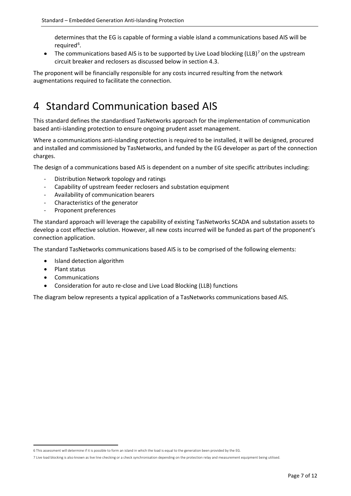determines that the EG is capable of forming a viable island a communications based AIS will be required<sup>[6](#page-6-0)</sup>.

• The communications based AIS is to be supported by Live Load blocking (LLB)<sup>[7](#page-6-1)</sup> on the upstream circuit breaker and reclosers as discussed below in section [4.3.](#page-8-0)

The proponent will be financially responsible for any costs incurred resulting from the network augmentations required to facilitate the connection.

## 4 Standard Communication based AIS

This standard defines the standardised TasNetworks approach for the implementation of communication based anti-islanding protection to ensure ongoing prudent asset management.

Where a communications anti-islanding protection is required to be installed, it will be designed, procured and installed and commissioned by TasNetworks, and funded by the EG developer as part of the connection charges.

The design of a communications based AIS is dependent on a number of site specific attributes including:

- Distribution Network topology and ratings
- Capability of upstream feeder reclosers and substation equipment
- Availability of communication bearers
- Characteristics of the generator
- Proponent preferences

The standard approach will leverage the capability of existing TasNetworks SCADA and substation assets to develop a cost effective solution. However, all new costs incurred will be funded as part of the proponent's connection application.

The standard TasNetworks communications based AIS is to be comprised of the following elements:

- Island detection algorithm
- Plant status
- **Communications**
- Consideration for auto re-close and Live Load Blocking (LLB) functions

The diagram below represents a typical application of a TasNetworks communications based AIS.

<span id="page-6-0"></span> <sup>6</sup> This assessment will determine if it is possible to form an island in which the load is equal to the generation been provided by the EG.

<span id="page-6-1"></span><sup>7</sup> Live load blocking is also known as live line checking or a check synchronisation depending on the protection relay and measurement equipment being utilised.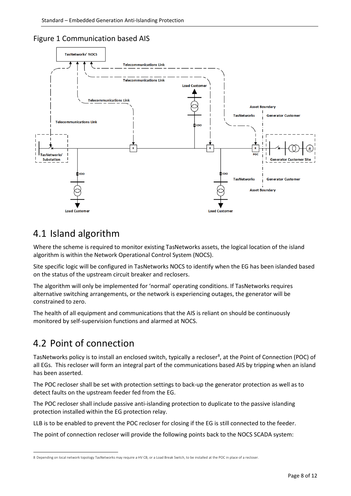<span id="page-7-0"></span>



#### 4.1 Island algorithm

Where the scheme is required to monitor existing TasNetworks assets, the logical location of the island algorithm is within the Network Operational Control System (NOCS).

Site specific logic will be configured in TasNetworks NOCS to identify when the EG has been islanded based on the status of the upstream circuit breaker and reclosers.

The algorithm will only be implemented for 'normal' operating conditions. If TasNetworks requires alternative switching arrangements, or the network is experiencing outages, the generator will be constrained to zero.

The health of all equipment and communications that the AIS is reliant on should be continuously monitored by self-supervision functions and alarmed at NOCS.

## 4.2 Point of connection

<u>.</u>

TasNetworks policy is to install an enclosed switch, typically a recloser<sup>[8](#page-7-1)</sup>, at the Point of Connection (POC) of all EGs. This recloser will form an integral part of the communications based AIS by tripping when an island has been asserted.

The POC recloser shall be set with protection settings to back-up the generator protection as well as to detect faults on the upstream feeder fed from the EG.

The POC recloser shall include passive anti-islanding protection to duplicate to the passive islanding protection installed within the EG protection relay.

LLB is to be enabled to prevent the POC recloser for closing if the EG is still connected to the feeder.

The point of connection recloser will provide the following points back to the NOCS SCADA system:

<span id="page-7-1"></span><sup>8</sup> Depending on local network topology TasNetworks may require a HV CB, or a Load Break Switch, to be installed at the POC in place of a recloser.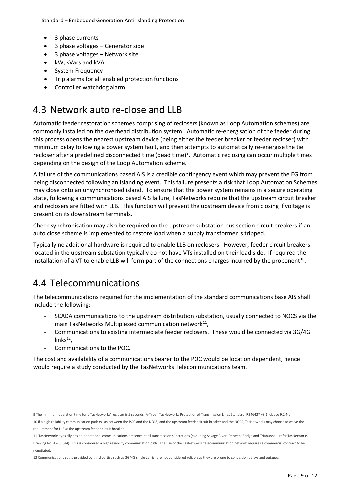- 3 phase currents
- 3 phase voltages Generator side
- 3 phase voltages Network site
- kW, kVars and kVA
- System Frequency
- Trip alarms for all enabled protection functions
- Controller watchdog alarm

#### <span id="page-8-0"></span>4.3 Network auto re-close and LLB

Automatic feeder restoration schemes comprising of reclosers (known as Loop Automation schemes) are commonly installed on the overhead distribution system. Automatic re-energisation of the feeder during this process opens the nearest upstream device (being either the feeder breaker or feeder recloser) with minimum delay following a power system fault, and then attempts to automatically re-energise the tie recloser after a predefined disconnected time (dead time)<sup>[9](#page-8-1)</sup>. Automatic reclosing can occur multiple times depending on the design of the Loop Automation scheme.

A failure of the communications based AIS is a credible contingency event which may prevent the EG from being disconnected following an islanding event. This failure presents a risk that Loop Automation Schemes may close onto an unsynchronised island. To ensure that the power system remains in a secure operating state, following a communications based AIS failure, TasNetworks require that the upstream circuit breaker and reclosers are fitted with LLB. This function will prevent the upstream device from closing if voltage is present on its downstream terminals.

Check synchronisation may also be required on the upstream substation bus section circuit breakers if an auto close scheme is implemented to restore load when a supply transformer is tripped.

Typically no additional hardware is required to enable LLB on reclosers. However, feeder circuit breakers located in the upstream substation typically do not have VTs installed on their load side. If required the installation of a VT to enable LLB will form part of the connections charges incurred by the proponent<sup>10</sup>.

#### 4.4 Telecommunications

The telecommunications required for the implementation of the standard communications base AIS shall include the following:

- SCADA communications to the upstream distribution substation, usually connected to NOCS via the main TasNetworks Multiplexed communication network $^{11}$ ,
- Communications to existing intermediate feeder reclosers. These would be connected via 3G/4G links $12$ .
- Communications to the POC.

The cost and availability of a communications bearer to the POC would be location dependent, hence would require a study conducted by the TasNetworks Telecommunications team.

<span id="page-8-1"></span> <sup>9</sup> The minimum operation time for a TasNetworks' recloser is 5 seconds (A-Type), TasNetworks Protection of Transmission Lines Standard, R246427 v3.1, clause 9.2.4(a).

<span id="page-8-2"></span><sup>10</sup> If a high reliability communication path exists between the POC and the NOCS, and the upstream feeder circuit breaker and the NOCS, TasNetworks may choose to waive the requirement for LLB at the upstream feeder circuit breaker.

<span id="page-8-3"></span><sup>11</sup> TasNetworks typically has an operational communications presence at all transmission substations (excluding Savage River, Derwent Bridge and Triabunna – refer TasNetworks

Drawing No. A2-06644). This is considered a high reliability communication path. The use of the TasNetworks telecommunication network requires a commercial contract to be negotiated.

<span id="page-8-4"></span><sup>12</sup> Communications paths provided by third parties such as 3G/4G single carrier are not considered reliable as they are prone to congestion delays and outages.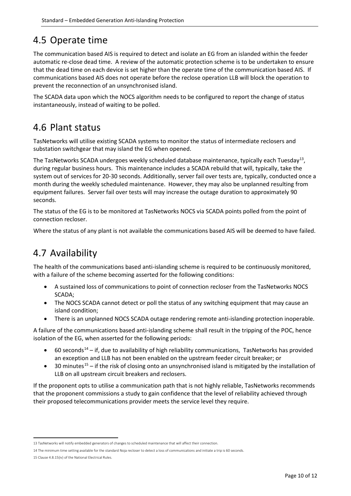## 4.5 Operate time

The communication based AIS is required to detect and isolate an EG from an islanded within the feeder automatic re-close dead time. A review of the automatic protection scheme is to be undertaken to ensure that the dead time on each device is set higher than the operate time of the communication based AIS. If communications based AIS does not operate before the reclose operation LLB will block the operation to prevent the reconnection of an unsynchronised island.

The SCADA data upon which the NOCS algorithm needs to be configured to report the change of status instantaneously, instead of waiting to be polled.

#### 4.6 Plant status

TasNetworks will utilise existing SCADA systems to monitor the status of intermediate reclosers and substation switchgear that may island the EG when opened.

The TasNetworks SCADA undergoes weekly scheduled database maintenance, typically each Tuesday<sup>13</sup>, during regular business hours. This maintenance includes a SCADA rebuild that will, typically, take the system out of services for 20-30 seconds. Additionally, server fail over tests are, typically, conducted once a month during the weekly scheduled maintenance. However, they may also be unplanned resulting from equipment failures. Server fail over tests will may increase the outage duration to approximately 90 seconds.

The status of the EG is to be monitored at TasNetworks NOCS via SCADA points polled from the point of connection recloser.

Where the status of any plant is not available the communications based AIS will be deemed to have failed.

#### 4.7 Availability

The health of the communications based anti-islanding scheme is required to be continuously monitored, with a failure of the scheme becoming asserted for the following conditions:

- A sustained loss of communications to point of connection recloser from the TasNetworks NOCS SCADA;
- The NOCS SCADA cannot detect or poll the status of any switching equipment that may cause an island condition;
- There is an unplanned NOCS SCADA outage rendering remote anti-islanding protection inoperable.

A failure of the communications based anti-islanding scheme shall result in the tripping of the POC, hence isolation of the EG, when asserted for the following periods:

- 60 seconds<sup>[14](#page-9-1)</sup> if, due to availability of high reliability communications, TasNetworks has provided an exception and LLB has not been enabled on the upstream feeder circuit breaker; or
- 30 minutes<sup>[15](#page-9-2)</sup> if the risk of closing onto an unsynchronised island is mitigated by the installation of LLB on all upstream circuit breakers and reclosers.

If the proponent opts to utilise a communication path that is not highly reliable, TasNetworks recommends that the proponent commissions a study to gain confidence that the level of reliability achieved through their proposed telecommunications provider meets the service level they require.

<span id="page-9-0"></span> <sup>13</sup> TasNetworks will notify embedded generators of changes to scheduled maintenance that will affect their connection.

<span id="page-9-1"></span><sup>14</sup> The minimum time setting available for the standard Noja recloser to detect a loss of communications and initiate a trip is 60 seconds.

<span id="page-9-2"></span><sup>15</sup> Clause 4.8.15(iv) of the National Electrical Rules.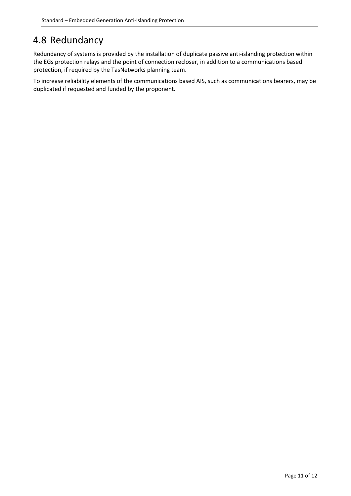## 4.8 Redundancy

Redundancy of systems is provided by the installation of duplicate passive anti-islanding protection within the EGs protection relays and the point of connection recloser, in addition to a communications based protection, if required by the TasNetworks planning team.

To increase reliability elements of the communications based AIS, such as communications bearers, may be duplicated if requested and funded by the proponent.